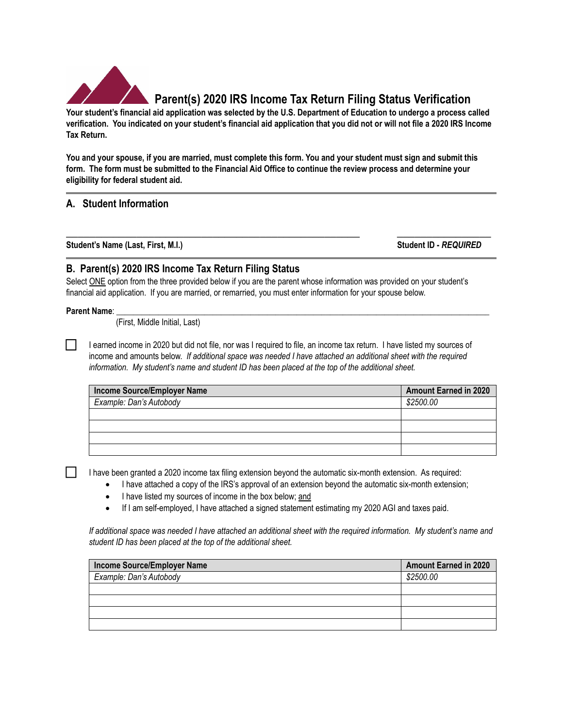

# **Parent(s) 2020 IRS Income Tax Return Filing Status Verification**

**Your student's financial aid application was selected by the U.S. Department of Education to undergo a process called verification. You indicated on your student's financial aid application that you did not or will not file a 2020 IRS Income Tax Return.** 

**You and your spouse, if you are married, must complete this form. You and your student must sign and submit this form. The form must be submitted to the Financial Aid Office to continue the review process and determine your eligibility for federal student aid.** 

# **A. Student Information**

**\_\_\_\_\_\_\_\_\_\_\_\_\_\_\_\_\_\_\_\_\_\_\_\_\_\_\_\_\_\_\_\_\_\_\_\_\_\_\_\_\_\_\_\_\_\_\_\_\_\_ \_\_\_\_\_\_\_\_\_\_\_\_\_\_\_\_ Student's Name (Last, First, M.I.) Student ID -** *REQUIRED*

### **B. Parent(s) 2020 IRS Income Tax Return Filing Status**

Select ONE option from the three provided below if you are the parent whose information was provided on your student's financial aid application. If you are married, or remarried, you must enter information for your spouse below.

#### **Parent Name**: \_\_\_\_\_\_\_\_\_\_\_\_\_\_\_\_\_\_\_\_\_\_\_\_\_\_\_\_\_\_\_\_\_\_\_\_\_\_\_\_\_\_\_\_\_\_\_\_\_\_\_\_\_\_\_\_\_\_\_\_\_\_\_\_\_\_\_\_\_\_\_\_\_\_\_\_\_\_\_\_\_\_\_\_\_\_\_\_\_

 $\perp$ 

(First, Middle Initial, Last)

I earned income in 2020 but did not file, nor was I required to file, an income tax return. I have listed my sources of income and amounts below. *If additional space was needed I have attached an additional sheet with the required information. My student's name and student ID has been placed at the top of the additional sheet.* 

| Income Source/Employer Name | <b>Amount Earned in 2020</b> |
|-----------------------------|------------------------------|
| Example: Dan's Autobody     | \$2500.00                    |
|                             |                              |
|                             |                              |
|                             |                              |
|                             |                              |

I have been granted a 2020 income tax filing extension beyond the automatic six-month extension. As required:

- I have attached a copy of the IRS's approval of an extension beyond the automatic six-month extension;
	- I have listed my sources of income in the box below; and
- If I am self-employed, I have attached a signed statement estimating my 2020 AGI and taxes paid.

*If additional space was needed I have attached an additional sheet with the required information. My student's name and student ID has been placed at the top of the additional sheet.* 

| Income Source/Employer Name | <b>Amount Earned in 2020</b> |
|-----------------------------|------------------------------|
| Example: Dan's Autobody     | \$2500.00                    |
|                             |                              |
|                             |                              |
|                             |                              |
|                             |                              |